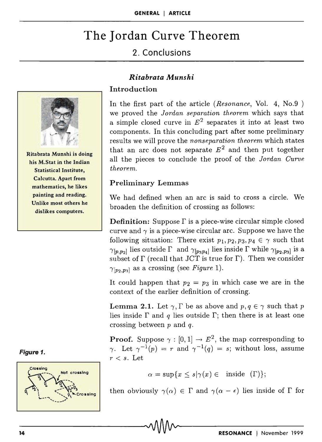# The Jordan Curve Theorem

# 2. Conclusions



Ritabrata Munshi is doing his M.Stat in the Indian Statistical Institute, Calcutta. Apart from mathematics, he likes painting and reading. Unlike most others he dislikes computers.

## *Ritabrata Munshi*

## **Introduction**

In the first part of the article *(Resonance,* Vol. 4, No.9 ) we proved the *Jordan separation theorem* which says that a simple closed curve in  $E^2$  separates it into at least two components. In this concluding part after some preliminary results we will prove the *nonseparation theorem* which states that an arc does not separate  $E^2$  and then put together all the pieces to conclude the proof of the *Jordan Curve theorem.* 

#### Preliminary Lemmas

We had defined when an arc is said to cross a circle. We broaden the definition of crossing as follows:

**Definition:** Suppose  $\Gamma$  is a piece-wise circular simple closed curve and  $\gamma$  is a piece-wise circular arc. Suppose we have the following situation: There exist  $p_1, p_2, p_3, p_4 \in \gamma$  such that  $\gamma_{[p,p_2]}$  lies outside  $\Gamma$  and  $\gamma_{[p_3p_4]}$  lies inside  $\Gamma$  while  $\gamma_{[p_2,p_3]}$  is a subset of  $\Gamma$  (recall that JCT is true for  $\Gamma$ ). Then we consider  $\gamma_{[p_2,p_3]}$  as a crossing (see *Figure 1*).

It could happen that  $p_2 = p_3$  in which case we are in the context of the earlier definition of crossing.

**Lemma 2.1.** Let  $\gamma$ ,  $\Gamma$  be as above and  $p, q \in \gamma$  such that p lies inside  $\Gamma$  and  $q$  lies outside  $\Gamma$ ; then there is at least one crossing between  $p$  and  $q$ .

**Proof.** Suppose  $\gamma : [0,1] \rightarrow E^2$ , the map corresponding to  $\gamma$ . Let  $\gamma^{-1}(p) = r$  and  $\gamma^{-1}(q) = s$ ; without loss, assume  $r < s$ . Let

$$
\alpha = \sup\{x \le s | \gamma(x) \in \text{ inside } (\Gamma) \};
$$

then obviously  $\gamma(\alpha) \in \Gamma$  and  $\gamma(\alpha - \epsilon)$  lies inside of  $\Gamma$  for

#### Figure 1.

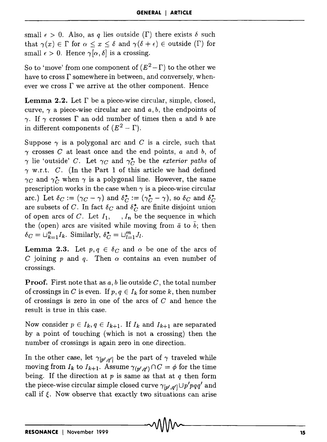small  $\epsilon > 0$ . Also, as q lies outside ( $\Gamma$ ) there exists  $\delta$  such that  $\gamma(x) \in \Gamma$  for  $\alpha \leq x \leq \delta$  and  $\gamma(\delta + \epsilon) \in$  outside ( $\Gamma$ ) for small  $\epsilon > 0$ . Hence  $\gamma[\alpha, \delta]$  is a crossing.

So to 'move' from one component of  $(E^2-\Gamma)$  to the other we have to cross  $\Gamma$  somewhere in between, and conversely, whenever we cross  $\Gamma$  we arrive at the other component. Hence

**Lemma 2.2.** Let  $\Gamma$  be a piece-wise circular, simple, closed, curve,  $\gamma$  a piece-wise circular arc and  $a, b$ , the endpoints of  $\gamma$ . If  $\gamma$  crosses  $\Gamma$  an odd number of times then *a* and *b* are in different components of  $(E^2 - \Gamma)$ .

Suppose  $\gamma$  is a polygonal arc and *C* is a circle, such that  $\gamma$  crosses *C* at least once and the end points, *a* and *b*, of  $\gamma$  lie 'outside' *C*. Let  $\gamma_C$  and  $\gamma_C^*$  be the *exterior paths* of  $\gamma$  w.r.t. C. (In the Part 1 of this article we had defined  $\gamma_C$  and  $\gamma_C^*$  when  $\gamma$  is a polygonal line. However, the same prescription works in the case when  $\gamma$  is a piece-wise circular arc.) Let  $\delta_C := (\gamma_C - \gamma)$  and  $\delta_C^* := (\gamma_C^* - \gamma)$ , so  $\delta_C$  and  $\delta_C^*$ are subsets of *C*. In fact  $\delta_C$  and  $\delta_C^*$  are finite disjoint union of open arcs of C. Let  $I_1$ ,  $I_n$  be the sequence in which the (open) arcs are visited while moving from  $\bar{a}$  to  $\bar{b}$ ; then  $\delta_C = \bigcup_{k=1}^n I_k$ . Similarly,  $\delta_C^* = \bigcup_{l=1}^m J_l$ .

**Lemma 2.3.** Let  $p, q \in \delta_C$  and  $\alpha$  be one of the arcs of C joining p and q. Then  $\alpha$  contains an even number of crossings.

Proof. First note that as *a, b* lie outside *C,* the total number of crossings in *C* is even. If  $p, q \in I_k$  for some *k*, then number of crossings is zero in one of the arcs of *C* and hence the result is true in this case.

Now consider  $p \in I_k$ ,  $q \in I_{k+1}$ . If  $I_k$  and  $I_{k+1}$  are separated by a point of touching (which is not a crossing) then the number of crossings is again zero in one direction.

In the other case, let  $\gamma_{[p',q']}$  be the part of  $\gamma$  traveled while moving from  $I_k$  to  $I_{k+1}$ . Assume  $\gamma_{(p',q')} \cap C = \phi$  for the time being. If the direction at *p* is same as that at *q* then form the piece-wise circular simple closed curve  $\gamma_{[p',q']} \cup p'pqq'$  and call if  $\xi$ . Now observe that exactly two situations can arise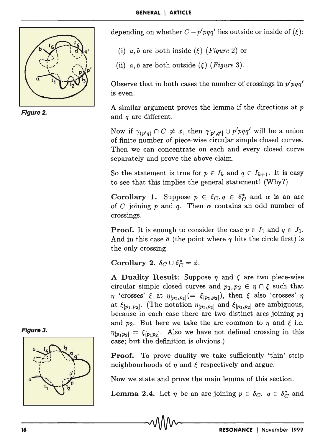

Figure 2.

depending on whether  $C - p'pqq'$  lies outside or inside of ( $\xi$ ):

- (i)  $a, b$  are both inside ( $\xi$ ) (*Figure* 2) or
- (ii)  $a, b$  are both outside ( $\xi$ ) (*Figure* 3).

Observe that in both cases the number of crossings in *p'pqq'*  is even.

A similar argument proves the lemma if the directions at *p*  and *q* are different.

Now if  $\gamma_{(p'q)} \cap C \neq \phi$ , then  $\gamma_{[p',q']} \cup p'pqq'$  will be a union of finite number of piece-wise circular simple closed curves. Then we can concentrate on each and every closed curve separately and prove the above claim.

So the statement is true for  $p \in I_k$  and  $q \in I_{k+1}$ . It is easy to see that this implies the general statement! (Why?)

Corollary 1. Suppose  $p \in \delta_C$ ,  $q \in \delta_C^*$  and  $\alpha$  is an arc of C joining p and q. Then  $\alpha$  contains an odd number of crossings.

**Proof.** It is enough to consider the case  $p \in I_1$  and  $q \in J_1$ . And in this case  $\bar{a}$  (the point where  $\gamma$  hits the circle first) is the only crossing.

Corollary 2.  $\delta_C \cup \delta_C^* = \phi$ .

A Duality Result: Suppose  $\eta$  and  $\xi$  are two piece-wise circular simple closed curves and  $p_1, p_2 \in \eta \cap \xi$  such that  $\eta$  'crosses'  $\xi$  at  $\eta_{[p_1,p_2]}(=\xi_{[p_1,p_2]}),$  then  $\xi$  also 'crosses'  $\eta$ at  $\xi_{[p_1,p_2]}$ . (The notation  $\eta_{[p_1,p_2]}$  and  $\xi_{[p_1,p_2]}$  are ambiguous, because in each case there are two distinct arcs joining *PI*  and  $p_2$ . But here we take the arc common to  $\eta$  and  $\xi$  i.e.  $\eta_{[p_1p_2]} = \xi_{[p_1p_2]}$ . Also we have not defined crossing in this case; but the definition is obvious.)

**Proof.** To prove duality we take sufficiently 'thin' strip neighbourhoods of  $\eta$  and  $\xi$  respectively and argue.

Now we state and prove the main lemma of this section.

**Lemma 2.4.** Let  $\eta$  be an arc joining  $p \in \delta_C$ ,  $q \in \delta_C^*$  and



Figura 3.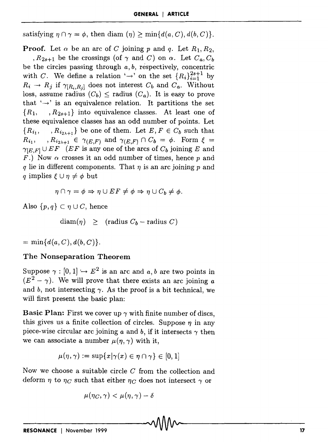satisfying  $\eta \cap \gamma = \phi$ , then diam  $(\eta) \ge \min\{d(a, C), d(b, C)\}.$ 

**Proof.** Let  $\alpha$  be an arc of C joining p and q. Let  $R_1, R_2$ , *, R*<sub>2s+1</sub> be the crossings (of  $\gamma$  and C) on  $\alpha$ . Let  $C_a, C_b$ be the circles passing through *a,* b, respectively, concentric with C. We define a relation  $\rightarrow$  on the set  ${R_i}_{i=1}^{2s+1}$  by  $R_i \rightarrow R_j$  if  $\gamma_{[R_i,R_j]}$  does not interest  $C_b$  and  $C_a$ . Without loss, assume radius  $(C_b) \leq$  radius  $(C_a)$ . It is easy to prove that  $\rightarrow$  is an equivalence relation. It partitions the set  ${R_1, \dots, R_{2s+1}}$  into equivalence classes. At least one of these equivalence classes has an odd number of points. Let  ${R_{i_1}, \dots, R_{i_{2\lambda+1}}}$  be one of them. Let  $E, F \in C_b$  such that  $R_{i_1}$ ,  $R_{i_2\lambda+1} \in \gamma_{(E,F)}$  and  $\gamma_{(E,F)} \cap C_b = \phi$ . Form  $\xi =$  $\gamma_{[E,F]} \cup EF \quad (EF \text{ is any one of the arcs of } C_b \text{ joining } E \text{ and }$ *F.*) Now  $\alpha$  crosses it an odd number of times, hence *p* and  $q$  lie in different components. That  $\eta$  is an arc joining  $p$  and *q* implies  $\xi \cup \eta \neq \phi$  but

$$
\eta \cap \gamma = \phi \Rightarrow \eta \cup EF \neq \phi \Rightarrow \eta \cup C_b \neq \phi.
$$

Also  $\{p,q\} \subset \eta \cup C$ , hence

 $diam(\eta) \geq$  (radius  $C_b$  – radius C)

 $= \min\{ d(a, C), d(b, C) \}.$ 

#### **The Nonseparation Theorem**

Suppose  $\gamma : [0,1] \rightarrow E^2$  is an arc and *a, b* are two points in  $(E^2 - \gamma)$ . We will prove that there exists an arc joining *a* and b, not intersecting  $\gamma$ . As the proof is a bit technical, we will first present the basic plan:

**Basic Plan:** First we cover up  $\gamma$  with finite number of discs, this gives us a finite collection of circles. Suppose  $\eta$  in any piece-wise circular arc joining *a* and *b*, if it intersects  $\gamma$  then we can associate a number  $\mu(\eta, \gamma)$  with it,

$$
\mu(\eta,\gamma) := \sup\{x|\gamma(x) \in \eta \cap \gamma\} \in [0,1]
$$

Now we choose a suitable circle  $C$  from the collection and deform  $\eta$  to  $\eta_C$  such that either  $\eta_C$  does not intersect  $\gamma$  or

$$
\mu(\eta_C,\gamma)<\mu(\eta,\gamma)-\delta
$$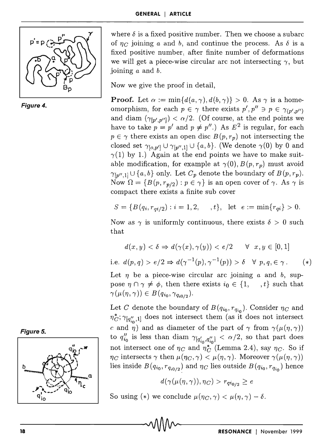



where  $\delta$  is a fixed positive number. Then we choose a subarc of  $\eta_C$  joining *a* and *b*, and continue the process. As  $\delta$  is a fixed positive number, after finite number of deformations we will get a piece-wise circular arc not intersecting  $\gamma$ , but joining *a* and b.

Now we give the proof in detail,

**Proof.** Let  $\alpha := \min\{d(a, \gamma), d(b, \gamma)\} > 0$ . As  $\gamma$  is a homeomorphism, for each  $p \in \gamma$  there exists  $p', p'' \ni p \in \gamma_{(p',p'')}$ and diam  $(\gamma_{[p',p'']}) < \alpha/2$ . (Of course, at the end points we have to take  $p = p'$  and  $p \neq p''$ .) As  $E^2$  is regular, for each  $p \in \gamma$  there exists an open disc  $B(p, r_p)$  not intersecting the closed set  $\gamma_{[o,p']} \cup \gamma_{[p'',1]} \cup \{a,b\}.$  (We denote  $\gamma(0)$  by 0 and  $\gamma(1)$  by 1.) Again at the end points we have to make suitable modification, for example at  $\gamma(0)$ ,  $B(p, r_p)$  must avoid  $\gamma_{[p'',1]} \cup \{a, b\}$  only. Let  $C_p$  denote the boundary of  $B(p, r_p)$ . Now  $\Omega = \{B(p, r_{p/2}) : p \in \gamma\}$  is an open cover of  $\gamma$ . As  $\gamma$  is compact there exists a finite sub cover

$$
S = \{ B(q_i, r_{qi/2}) : i = 1, 2, \dots, t \}, \text{ let } e := \min\{r_{qi}\} > 0.
$$

Now as  $\gamma$  is uniformly continuous, there exists  $\delta > 0$  such that

$$
d(x, y) < \delta \Rightarrow d(\gamma(x), \gamma(y)) < e/2 \quad \forall \; x, y \in [0, 1]
$$

i.e.  $d(p,q) > e/2 \Rightarrow d(\gamma^{-1}(p), \gamma^{-1}(p)) > \delta \quad \forall p,q,\in \gamma$ . (\*)

Let  $\eta$  be a piece-wise circular arc joining *a* and *b*, suppose  $\eta \cap \gamma \neq \phi$ , then there exists  $i_0 \in \{1, \dots, t\}$  such that  $\gamma(\mu(\eta, \gamma)) \in B(q_{i_0}, \gamma_{q_{i_0/2}}).$ 

Let C denote the boundary of  $B(q_{i_0}, r_{q_{i_0}})$ . Consider  $\eta_C$  and  $\eta_C^*$ ;  $\gamma_{[q'_{i\alpha},1]}$  does not intersect them (as it does not intersect c and  $\eta$ ) and as diameter of the part of  $\gamma$  from  $\gamma(\mu(\eta, \gamma))$ to  $q''_{i_0}$  is less than diam  $\gamma_{[q'_{i_0},q''_{i_0}]} < \alpha/2$ , so that part does not intersect one of  $\eta_C$  and  $\eta_C^*$  (Lemma 2.4), say  $\eta_C$ . So if  $\eta_C$  intersects  $\gamma$  then  $\mu(\eta_C, \gamma) < \mu(\eta, \gamma)$ . Moreover  $\gamma(\mu(\eta, \gamma))$ lies inside  $B(q_{i_0}, r_{q_{i_0/2}})$  and  $\eta_C$  lies outside  $B(q_{i_0}, r_{q_{i_0}})$  hence

$$
d(\gamma(\mu(\eta,\gamma)),\eta_C) > r_{q i_{0/2}} \geq e
$$

So using (\*) we conclude  $\mu(\eta_C,\gamma) < \mu(\eta,\gamma) - \delta$ .



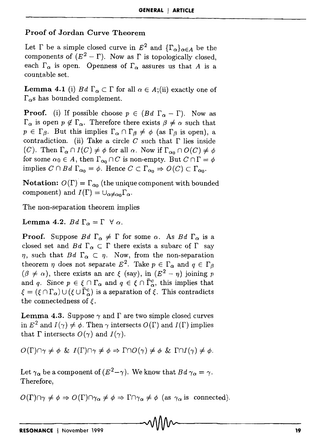# Proof of Jordan Curve Theorem

Let  $\Gamma$  be a simple closed curve in  $E^2$  and  $\{\Gamma_{\alpha}\}_{{\alpha}\in A}$  be the components of  $(E^2 - \Gamma)$ . Now as  $\Gamma$  is topologically closed, each  $\Gamma_{\alpha}$  is open. Openness of  $\Gamma_{\alpha}$  assures us that A is a countable set.

**Lemma 4.1** (i) Bd  $\Gamma_{\alpha} \subset \Gamma$  for all  $\alpha \in A$ ;(ii) exactly one of  $\Gamma_{\alpha}$ s has bounded complement.

**Proof.** (i) If possible choose  $p \in (Bd \Gamma_{\alpha} - \Gamma)$ . Now as  $\Gamma_{\alpha}$  is open  $p \notin \Gamma_{\alpha}$ . Therefore there exists  $\beta \neq \alpha$  such that  $p \in \Gamma_{\beta}$ . But this implies  $\Gamma_{\alpha} \cap \Gamma_{\beta} \neq \phi$  (as  $\Gamma_{\beta}$  is open), a contradiction. (ii) Take a circle C such that  $\Gamma$  lies inside (C). Then  $\Gamma_{\alpha} \cap I(C) \neq \phi$  for all  $\alpha$ . Now if  $\Gamma_{\alpha} \cap O(C) \neq \phi$ for some  $\alpha_0 \in A$ , then  $\Gamma_{\alpha_0} \cap C$  is non-empty. But  $C \cap \Gamma = \phi$ implies  $C \cap Bd \Gamma_{\alpha_0} = \phi$ . Hence  $C \subset \Gamma_{\alpha_0} \Rightarrow O(C) \subset \Gamma_{\alpha_0}$ .

**Notation:**  $O(\Gamma) = \Gamma_{\alpha_0}$  (the unique component with bounded component) and  $I(\Gamma) = \bigcup_{\alpha \neq \alpha_0} \Gamma_{\alpha}$ .

The non-separation theorem implies

Lemma 4.2.  $Bd \Gamma_{\alpha} = \Gamma \ \forall \alpha$ .

**Proof.** Suppose  $Bd \Gamma_{\alpha} \neq \Gamma$  for some  $\alpha$ . As  $Bd \Gamma_{\alpha}$  is a closed set and Bd  $\Gamma_{\alpha} \subset \Gamma$  there exists a subarc of  $\Gamma$  say  $\eta$ , such that  $Bd \Gamma_{\alpha} \subset \eta$ . Now, from the non-separation theorem  $\eta$  does not separate  $E^2$ . Take  $p \in \Gamma_\alpha$  and  $q \in \Gamma_\beta$  $({\beta \neq \alpha})$ , there exists an arc  $\xi$  (say), in  $(E^2 - \eta)$  joining p and *q*. Since  $p \in \xi \cap \Gamma_\alpha$  and  $q \in \xi \cap \overline{\Gamma}_\alpha^c$ , this implies that  $\xi = (\xi \cap \Gamma_\alpha) \cup (\xi \cup \overline{\Gamma}_\alpha^c)$  is a separation of  $\xi$ . This contradicts the connectedness of  $\xi$ .

**Lemma 4.3.** Suppose  $\gamma$  and  $\Gamma$  are two simple closed curves in  $E^2$  and  $I(\gamma) \neq \phi$ . Then  $\gamma$  intersects  $O(\Gamma)$  and  $I(\Gamma)$  implies that  $\Gamma$  intersects  $O(\gamma)$  and  $I(\gamma)$ .

 $O(\Gamma) \cap \gamma \neq \phi \& I(\Gamma) \cap \gamma \neq \phi \Rightarrow \Gamma \cap O(\gamma) \neq \phi \& \Gamma \cap I(\gamma) \neq \phi.$ 

Let  $\gamma_{\alpha}$  be a component of  $(E^2-\gamma)$ . We know that  $Bd \gamma_{\alpha} = \gamma$ . Therefore,

 $O(\Gamma)\cap \gamma \neq \phi \Rightarrow O(\Gamma)\cap \gamma_{\alpha} \neq \phi \Rightarrow \Gamma \cap \gamma_{\alpha} \neq \phi \text{ (as } \gamma_{\alpha} \text{ is connected)}.$